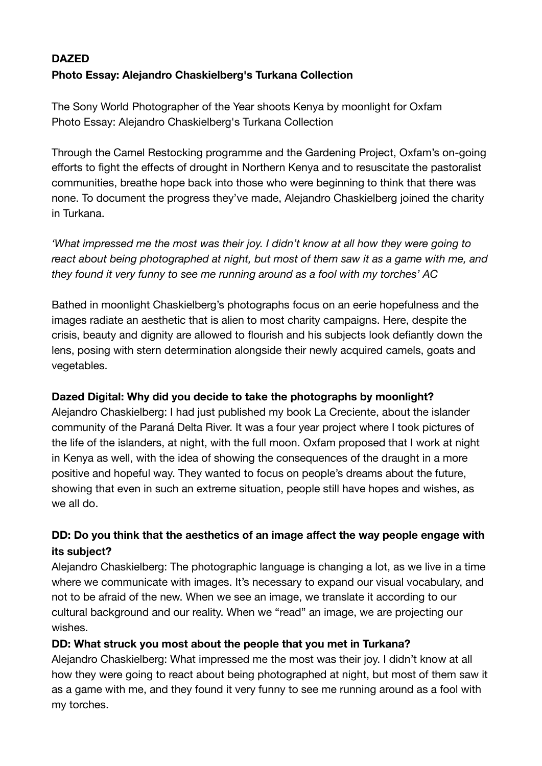# **DAZED Photo Essay: Alejandro Chaskielberg's Turkana Collection**

The Sony World Photographer of the Year shoots Kenya by moonlight for Oxfam Photo Essay: Alejandro Chaskielberg's Turkana Collection

Through the Camel Restocking programme and the Gardening Project, Oxfam's on-going efforts to fight the effects of drought in Northern Kenya and to resuscitate the pastoralist communities, breathe hope back into those who were beginning to think that there was none. To document the progress they've made, A[lejandro Chaskielberg](http://www.chaskielberg.com/) joined the charity in Turkana.

*'What impressed me the most was their joy. I didn't know at all how they were going to react about being photographed at night, but most of them saw it as a game with me, and they found it very funny to see me running around as a fool with my torches' AC* 

Bathed in moonlight Chaskielberg's photographs focus on an eerie hopefulness and the images radiate an aesthetic that is alien to most charity campaigns. Here, despite the crisis, beauty and dignity are allowed to flourish and his subjects look defiantly down the lens, posing with stern determination alongside their newly acquired camels, goats and vegetables.

# **Dazed Digital: Why did you decide to take the photographs by moonlight?**

Alejandro Chaskielberg: I had just published my book La Creciente, about the islander community of the Paraná Delta River. It was a four year project where I took pictures of the life of the islanders, at night, with the full moon. Oxfam proposed that I work at night in Kenya as well, with the idea of showing the consequences of the draught in a more positive and hopeful way. They wanted to focus on people's dreams about the future, showing that even in such an extreme situation, people still have hopes and wishes, as we all do.

# **DD: Do you think that the aesthetics of an image affect the way people engage with its subject?**

Alejandro Chaskielberg: The photographic language is changing a lot, as we live in a time where we communicate with images. It's necessary to expand our visual vocabulary, and not to be afraid of the new. When we see an image, we translate it according to our cultural background and our reality. When we "read" an image, we are projecting our wishes.

# **DD: What struck you most about the people that you met in Turkana?**

Alejandro Chaskielberg: What impressed me the most was their joy. I didn't know at all how they were going to react about being photographed at night, but most of them saw it as a game with me, and they found it very funny to see me running around as a fool with my torches.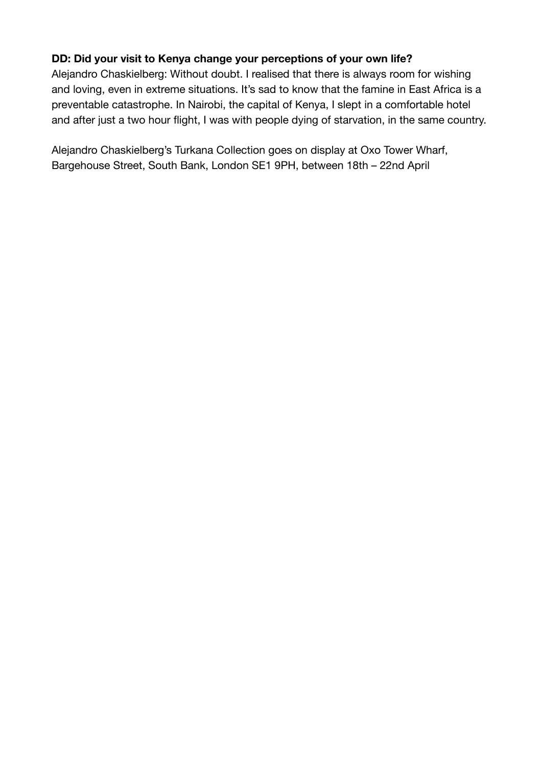# **DD: Did your visit to Kenya change your perceptions of your own life?**

Alejandro Chaskielberg: Without doubt. I realised that there is always room for wishing and loving, even in extreme situations. It's sad to know that the famine in East Africa is a preventable catastrophe. In Nairobi, the capital of Kenya, I slept in a comfortable hotel and after just a two hour flight, I was with people dying of starvation, in the same country.

Alejandro Chaskielberg's Turkana Collection goes on display at Oxo Tower Wharf, Bargehouse Street, South Bank, London SE1 9PH, between 18th – 22nd April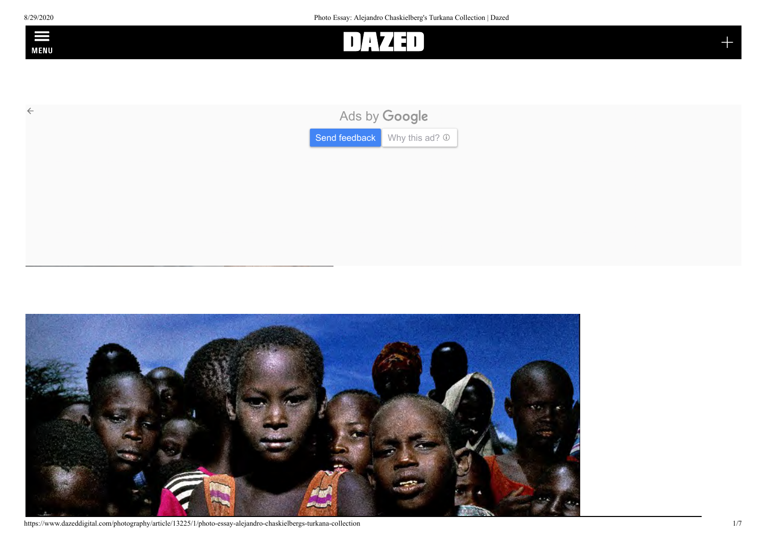



https://www.dazeddigital.com/photography/article/13225/1/photo-essay-alejandro-chaskielbergs-turkana-collection 1/7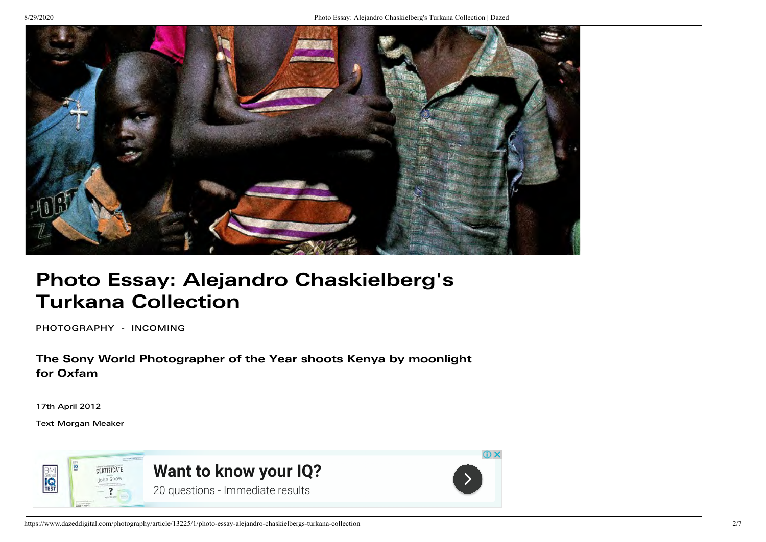

# Photo Essay: Alejandro Chaskielberg's Turkana Collection

[PHOTOGRAPHY](https://www.dazeddigital.com/photography) [- INCOMING](https://www.dazeddigital.com/incoming)

The Sony World Photographer of the Year shoots Kenya by moonlight for Oxfam

17th April 2012

Tex[t Morgan Meaker](https://www.dazeddigital.com/user/MorganMeaker)

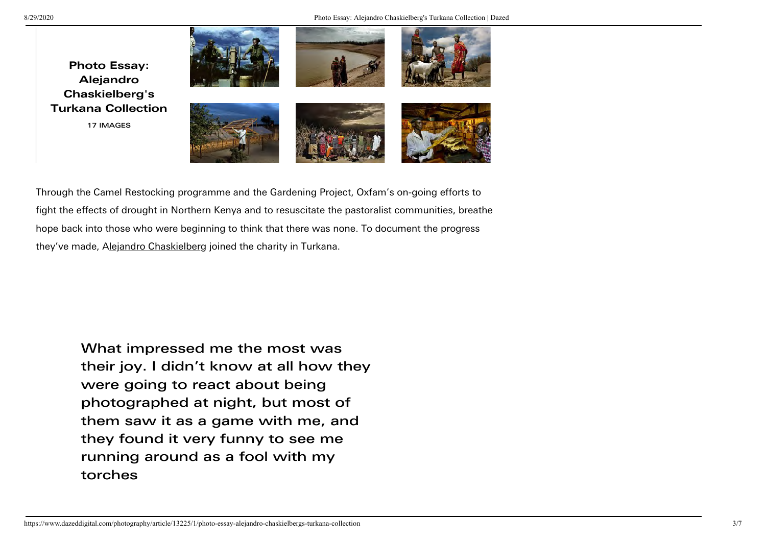

Through the Camel Restocking programme and the Gardening Project, Oxfam's on-going efforts to fight the effects of drought in Northern Kenya and to resuscitate the pastoralist communities, breathe hope back into those who were beginning to think that there was none. To document the progress they've made, A[lejandro Chaskielberg](http://www.chaskielberg.com/) joined the charity in Turkana.

What impressed me the most was their joy. I didn't know at all how they were going to react about being photographed at night, but most of them saw it as a game with me, and they found it very funny to see me running around as a fool with my torches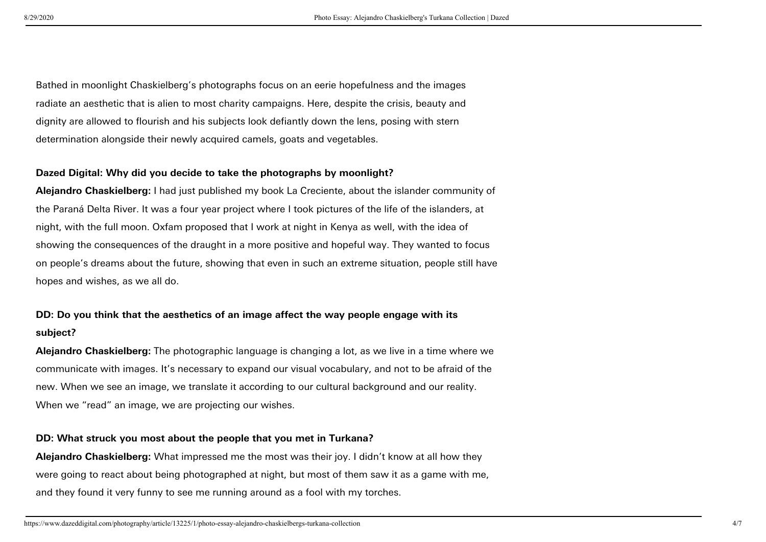Bathed in moonlight Chaskielberg's photographs focus on an eerie hopefulness and the images radiate an aesthetic that is alien to most charity campaigns. Here, despite the crisis, beauty and dignity are allowed to flourish and his subjects look defiantly down the lens, posing with stern determination alongside their newly acquired camels, goats and vegetables.

#### Dazed Digital: Why did you decide to take the photographs by moonlight?

Alejandro Chaskielberg: I had just published my book La Creciente, about the islander community of the Paraná Delta River. It was a four year project where I took pictures of the life of the islanders, at night, with the full moon. Oxfam proposed that I work at night in Kenya as well, with the idea of showing the consequences of the draught in a more positive and hopeful way. They wanted to focus on people's dreams about the future, showing that even in such an extreme situation, people still have hopes and wishes, as we all do.

# DD: Do you think that the aesthetics of an image affect the way people engage with its subject?

Alejandro Chaskielberg: The photographic language is changing a lot, as we live in a time where we communicate with images. It's necessary to expand our visual vocabulary, and not to be afraid of the new. When we see an image, we translate it according to our cultural background and our reality. When we "read" an image, we are projecting our wishes.

#### DD: What struck you most about the people that you met in Turkana?

Alejandro Chaskielberg: What impressed me the most was their joy. I didn't know at all how they were going to react about being photographed at night, but most of them saw it as a game with me, and they found it very funny to see me running around as a fool with my torches.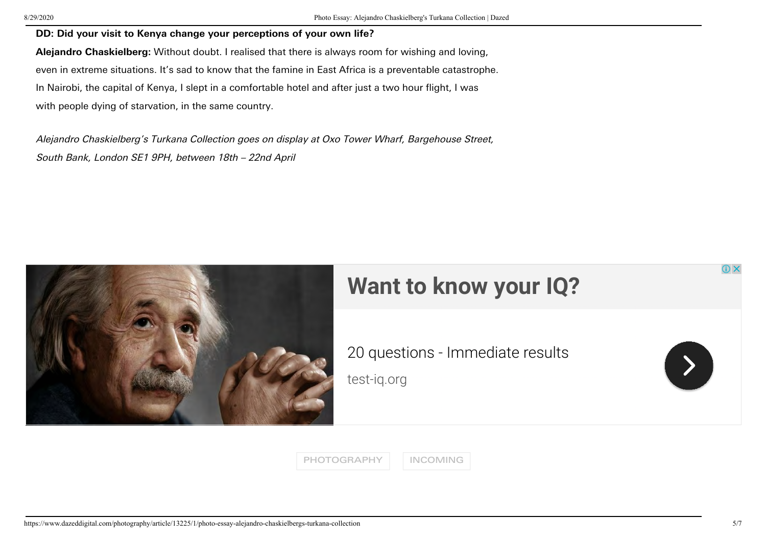#### DD: Did your visit to Kenya change your perceptions of your own life?

Alejandro Chaskielberg: Without doubt. I realised that there is always room for wishing and loving, even in extreme situations. It's sad to know that the famine in East Africa is a preventable catastrophe. In Nairobi, the capital of Kenya, I slept in a comfortable hotel and after just a two hour flight, I was with people dying of starvation, in the same country.

Alejandro Chaskielberg's Turkana Collection goes on display at Oxo Tower Wharf, Bargehouse Street, South Bank, London SE1 9PH, between 18th – 22nd April



# **[Want to know your IQ?](https://adclick.g.doubleclick.net/aclk?sa=l&ai=CyUtvt8BKX4SVPLrN5OUPuKOEqAPY5biTXq31g_zbC5LXsOraDhABIMHbhkxgoYCAgGCgAe3qkM4DyAEJqQJ5I_1pDvmzPuACAKgDAcgDCqoEugJP0FxC1R0YwBKpYFLYJVwISVQlaLb0DvA9Ml_ofXZ_dXVbvzDmQ5Z39MiaiP_5qzqEPJE6Tcr_GAuivRizBlPnOzZHi55GmnqtxyTpX_m426DbkUdc2vzbqRpYG2u514Q69eFyFjmQFF5MBTPgXhcuxBhrEj9GTQl91fNQ6ehkb5Pte0o97-1kH0623bvc1DDngUKNL667To7nNU9eHNPNy1S4-kNJrlz_nonB-0defSXcyR04oZlO_Bkrlg9MTiMlN7VXOEi4mZ51hNfWfv2thQopUr68oN31uXUXqb2AclajL-rfzY9KJ-xaLFT1GGB_Pycrm3s1WHCcvJAjel350THCVy68B966CYxdWBpzjOrt7N0eG0uv6KIbkGOV0VrSff5S7TqdSzd7PmfDjZRpWBd5kYpUCCfahMAE1v_h5_gC4AQBoAYugAf7lO8xqAeOzhuoB9XJG6gHk9gbqAe6BqgH8NkbqAfy2RuoB6a-G6gH7NUbqAfz0RuoB-zVG6gHltgbqAfC2hvYBwDSCAkIgOHAYBABGB2xCVHLFeAMZQCEgAoDmAsByAsBgAwB2BMM&ae=1&num=1&cid=CAAScORoqgZMqW0kC-4flx0SHQIKFvA5J_VCxYxhLLbm3F_Qhtc-ZCAEVoTqK3iZ0POzhgzmryi27yfGKDSOUP1vFWjSwnV4giPT-iy0rhiAW-1fdY6qiLglx4G_PEcyejOJO4ZL5Ffznt6g_1h2MeExzc0&sig=AOD64_05FDJsh0maeUz5DGokV7Yl8hZuKw&client=ca-pub-6661296431735219&nb=0&adurl=https://www.test-iq.org/%3Fgclid%3DEAIaIQobChMIxMydmabB6wIVuia5Bh24EQE1EAEYASAAEgIvbvD_BwE)**

[20 questions - Immediate results](https://adclick.g.doubleclick.net/aclk?sa=l&ai=CyUtvt8BKX4SVPLrN5OUPuKOEqAPY5biTXq31g_zbC5LXsOraDhABIMHbhkxgoYCAgGCgAe3qkM4DyAEJqQJ5I_1pDvmzPuACAKgDAcgDCqoEugJP0FxC1R0YwBKpYFLYJVwISVQlaLb0DvA9Ml_ofXZ_dXVbvzDmQ5Z39MiaiP_5qzqEPJE6Tcr_GAuivRizBlPnOzZHi55GmnqtxyTpX_m426DbkUdc2vzbqRpYG2u514Q69eFyFjmQFF5MBTPgXhcuxBhrEj9GTQl91fNQ6ehkb5Pte0o97-1kH0623bvc1DDngUKNL667To7nNU9eHNPNy1S4-kNJrlz_nonB-0defSXcyR04oZlO_Bkrlg9MTiMlN7VXOEi4mZ51hNfWfv2thQopUr68oN31uXUXqb2AclajL-rfzY9KJ-xaLFT1GGB_Pycrm3s1WHCcvJAjel350THCVy68B966CYxdWBpzjOrt7N0eG0uv6KIbkGOV0VrSff5S7TqdSzd7PmfDjZRpWBd5kYpUCCfahMAE1v_h5_gC4AQBoAYugAf7lO8xqAeOzhuoB9XJG6gHk9gbqAe6BqgH8NkbqAfy2RuoB6a-G6gH7NUbqAfz0RuoB-zVG6gHltgbqAfC2hvYBwDSCAkIgOHAYBABGB2xCVHLFeAMZQCEgAoDmAsByAsBgAwB2BMM&ae=1&num=1&cid=CAAScORoqgZMqW0kC-4flx0SHQIKFvA5J_VCxYxhLLbm3F_Qhtc-ZCAEVoTqK3iZ0POzhgzmryi27yfGKDSOUP1vFWjSwnV4giPT-iy0rhiAW-1fdY6qiLglx4G_PEcyejOJO4ZL5Ffznt6g_1h2MeExzc0&sig=AOD64_05FDJsh0maeUz5DGokV7Yl8hZuKw&client=ca-pub-6661296431735219&nb=7&adurl=https://www.test-iq.org/%3Fgclid%3DEAIaIQobChMIxMydmabB6wIVuia5Bh24EQE1EAEYASAAEgIvbvD_BwE) [test-iq.org](https://adclick.g.doubleclick.net/aclk?sa=l&ai=CyUtvt8BKX4SVPLrN5OUPuKOEqAPY5biTXq31g_zbC5LXsOraDhABIMHbhkxgoYCAgGCgAe3qkM4DyAEJqQJ5I_1pDvmzPuACAKgDAcgDCqoEugJP0FxC1R0YwBKpYFLYJVwISVQlaLb0DvA9Ml_ofXZ_dXVbvzDmQ5Z39MiaiP_5qzqEPJE6Tcr_GAuivRizBlPnOzZHi55GmnqtxyTpX_m426DbkUdc2vzbqRpYG2u514Q69eFyFjmQFF5MBTPgXhcuxBhrEj9GTQl91fNQ6ehkb5Pte0o97-1kH0623bvc1DDngUKNL667To7nNU9eHNPNy1S4-kNJrlz_nonB-0defSXcyR04oZlO_Bkrlg9MTiMlN7VXOEi4mZ51hNfWfv2thQopUr68oN31uXUXqb2AclajL-rfzY9KJ-xaLFT1GGB_Pycrm3s1WHCcvJAjel350THCVy68B966CYxdWBpzjOrt7N0eG0uv6KIbkGOV0VrSff5S7TqdSzd7PmfDjZRpWBd5kYpUCCfahMAE1v_h5_gC4AQBoAYugAf7lO8xqAeOzhuoB9XJG6gHk9gbqAe6BqgH8NkbqAfy2RuoB6a-G6gH7NUbqAfz0RuoB-zVG6gHltgbqAfC2hvYBwDSCAkIgOHAYBABGB2xCVHLFeAMZQCEgAoDmAsByAsBgAwB2BMM&ae=1&num=1&cid=CAAScORoqgZMqW0kC-4flx0SHQIKFvA5J_VCxYxhLLbm3F_Qhtc-ZCAEVoTqK3iZ0POzhgzmryi27yfGKDSOUP1vFWjSwnV4giPT-iy0rhiAW-1fdY6qiLglx4G_PEcyejOJO4ZL5Ffznt6g_1h2MeExzc0&sig=AOD64_05FDJsh0maeUz5DGokV7Yl8hZuKw&client=ca-pub-6661296431735219&nb=1&adurl=https://www.test-iq.org/%3Fgclid%3DEAIaIQobChMIxMydmabB6wIVuia5Bh24EQE1EAEYASAAEgIvbvD_BwE)



[PHOTOGRAPHY](https://www.dazeddigital.com/photography) | [INCOMING](https://www.dazeddigital.com/incoming)

 $\times$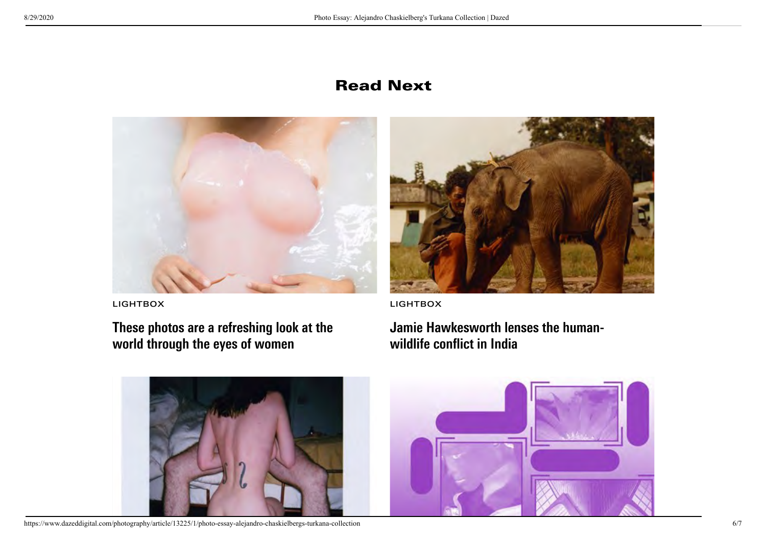# Read Next



[These photos are a refreshing look at the](https://www.dazeddigital.com/photography/article/38678/1/see-what-the-world-looks-like-from-a-female-perspective) world through the eyes of women



[LIGHTBOX](https://www.dazeddigital.com/lightbox) [LIGHTBOX](https://www.dazeddigital.com/lightbox)

[Jamie Hawkesworth lenses the human](https://www.dazeddigital.com/photography/article/38432/1/jamie-hawkesworth-lenses-the-human-wildlife-conflict-in-india)wildlife conflict in India



https://www.dazeddigital.com/photography/article/13225/1/photo-essay-alejandro-chaskielbergs-turkana-collection 6/7